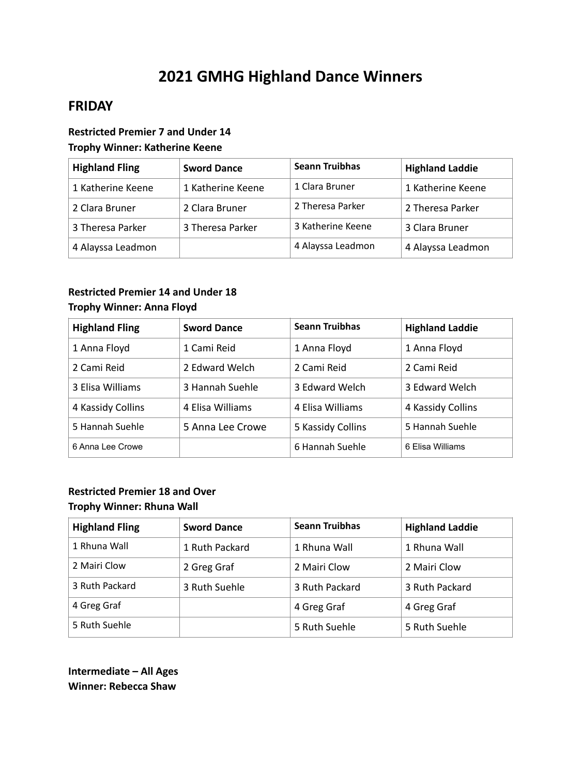# **2021 GMHG Highland Dance Winners**

# **FRIDAY**

### **Restricted Premier 7 and Under 14 Trophy Winner: Katherine Keene**

| <b>Highland Fling</b> | <b>Sword Dance</b> | <b>Seann Truibhas</b> | <b>Highland Laddie</b> |
|-----------------------|--------------------|-----------------------|------------------------|
| 1 Katherine Keene     | 1 Katherine Keene  | 1 Clara Bruner        | 1 Katherine Keene      |
| 2 Clara Bruner        | 2 Clara Bruner     | 2 Theresa Parker      | 2 Theresa Parker       |
| 3 Theresa Parker      | 3 Theresa Parker   | 3 Katherine Keene     | 3 Clara Bruner         |
| 4 Alayssa Leadmon     |                    | 4 Alayssa Leadmon     | 4 Alayssa Leadmon      |

### **Restricted Premier 14 and Under 18 Trophy Winner: Anna Floyd**

| <b>Highland Fling</b> | <b>Sword Dance</b> | <b>Seann Truibhas</b> | <b>Highland Laddie</b> |
|-----------------------|--------------------|-----------------------|------------------------|
| 1 Anna Floyd          | 1 Cami Reid        | 1 Anna Floyd          | 1 Anna Floyd           |
| 2 Cami Reid           | 2 Edward Welch     | 2 Cami Reid           | 2 Cami Reid            |
| 3 Elisa Williams      | 3 Hannah Suehle    | 3 Edward Welch        | 3 Edward Welch         |
| 4 Kassidy Collins     | 4 Elisa Williams   | 4 Elisa Williams      | 4 Kassidy Collins      |
| 5 Hannah Suehle       | 5 Anna Lee Crowe   | 5 Kassidy Collins     | 5 Hannah Suehle        |
| 6 Anna Lee Crowe      |                    | 6 Hannah Suehle       | 6 Flisa Williams       |

### **Restricted Premier 18 and Over Trophy Winner: Rhuna Wall**

| <b>Highland Fling</b> | <b>Sword Dance</b> | <b>Seann Truibhas</b> | <b>Highland Laddie</b> |
|-----------------------|--------------------|-----------------------|------------------------|
| 1 Rhuna Wall          | 1 Ruth Packard     | 1 Rhuna Wall          | 1 Rhuna Wall           |
| 2 Mairi Clow          | 2 Greg Graf        | 2 Mairi Clow          | 2 Mairi Clow           |
| 3 Ruth Packard        | 3 Ruth Suehle      | 3 Ruth Packard        | 3 Ruth Packard         |
| 4 Greg Graf           |                    | 4 Greg Graf           | 4 Greg Graf            |
| 5 Ruth Suehle         |                    | 5 Ruth Suehle         | 5 Ruth Suehle          |

**Intermediate – All Ages Winner: Rebecca Shaw**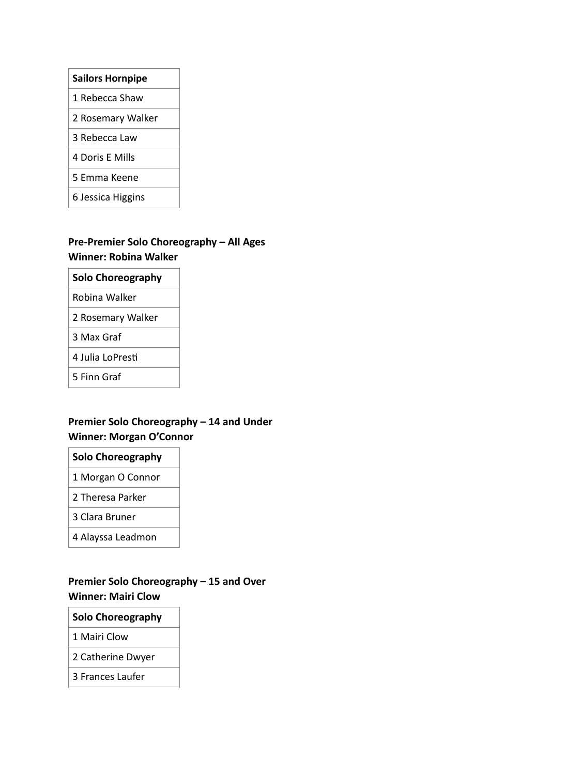| <b>Sailors Hornpipe</b> |
|-------------------------|
| 1 Rebecca Shaw          |
| 2 Rosemary Walker       |
| 3 Rebecca Law           |
| 4 Doris E Mills         |
| 5 Emma Keene            |
| 6 Jessica Higgins       |

# **Pre-Premier Solo Choreography – All Ages Winner: Robina Walker**

| <b>Solo Choreography</b> |
|--------------------------|
|                          |

Robina Walker

2 Rosemary Walker

3 Max Graf

4 Julia LoPresti

5 Finn Graf

### **Premier Solo Choreography – 14 and Under Winner: Morgan O'Connor**

### **Solo Choreography**

- 1 Morgan O Connor
- 2 Theresa Parker
- 3 Clara Bruner
- 4 Alayssa Leadmon

### **Premier Solo Choreography – 15 and Over Winner: Mairi Clow**

#### **Solo Choreography**

1 Mairi Clow

2 Catherine Dwyer

3 Frances Laufer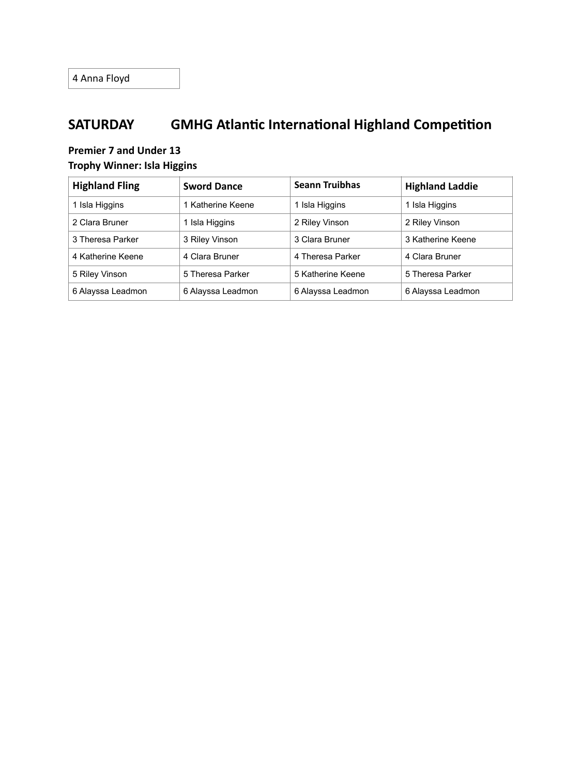# **SATURDAY GMHG Atlantic International Highland Competition**

### **Premier 7 and Under 13 Trophy Winner: Isla Higgins**

| <b>Highland Fling</b> | <b>Sword Dance</b> | <b>Seann Truibhas</b> | <b>Highland Laddie</b> |
|-----------------------|--------------------|-----------------------|------------------------|
| 1 Isla Higgins        | 1 Katherine Keene  | 1 Isla Higgins        | 1 Isla Higgins         |
| 2 Clara Bruner        | 1 Isla Higgins     | 2 Riley Vinson        | 2 Riley Vinson         |
| 3 Theresa Parker      | 3 Riley Vinson     | 3 Clara Bruner        | 3 Katherine Keene      |
| 4 Katherine Keene     | 4 Clara Bruner     | 4 Theresa Parker      | 4 Clara Bruner         |
| 5 Riley Vinson        | 5 Theresa Parker   | 5 Katherine Keene     | 5 Theresa Parker       |
| 6 Alayssa Leadmon     | 6 Alayssa Leadmon  | 6 Alayssa Leadmon     | 6 Alayssa Leadmon      |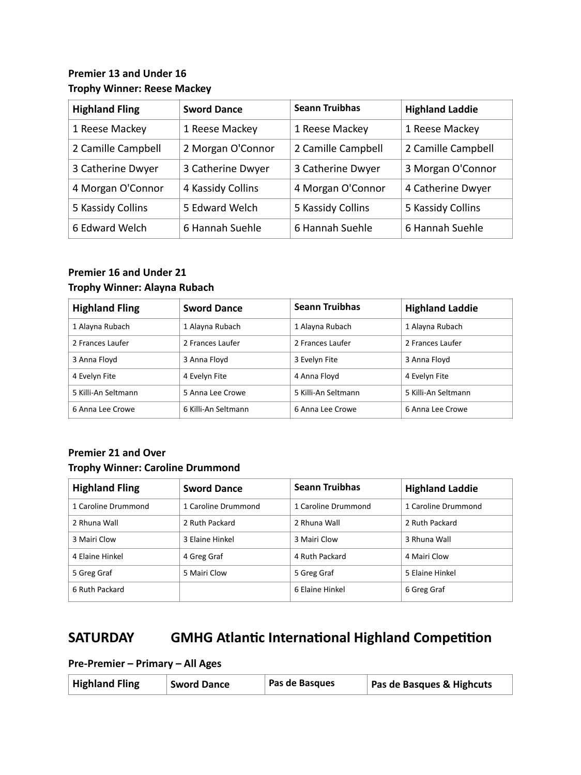### **Premier 13 and Under 16 Trophy Winner: Reese Mackey**

| <b>Highland Fling</b> | <b>Sword Dance</b> | <b>Seann Truibhas</b> | <b>Highland Laddie</b> |
|-----------------------|--------------------|-----------------------|------------------------|
| 1 Reese Mackey        | 1 Reese Mackey     | 1 Reese Mackey        | 1 Reese Mackey         |
| 2 Camille Campbell    | 2 Morgan O'Connor  | 2 Camille Campbell    | 2 Camille Campbell     |
| 3 Catherine Dwyer     | 3 Catherine Dwyer  | 3 Catherine Dwyer     | 3 Morgan O'Connor      |
| 4 Morgan O'Connor     | 4 Kassidy Collins  | 4 Morgan O'Connor     | 4 Catherine Dwyer      |
| 5 Kassidy Collins     | 5 Edward Welch     | 5 Kassidy Collins     | 5 Kassidy Collins      |
| 6 Edward Welch        | 6 Hannah Suehle    | 6 Hannah Suehle       | 6 Hannah Suehle        |

### **Premier 16 and Under 21 Trophy Winner: Alayna Rubach**

| <b>Highland Fling</b> | <b>Sword Dance</b>  | <b>Seann Truibhas</b> | <b>Highland Laddie</b> |
|-----------------------|---------------------|-----------------------|------------------------|
| 1 Alayna Rubach       | 1 Alayna Rubach     | 1 Alayna Rubach       | 1 Alayna Rubach        |
| 2 Frances Laufer      | 2 Frances Laufer    | 2 Frances Laufer      | 2 Frances Laufer       |
| 3 Anna Floyd          | 3 Anna Floyd        | 3 Evelyn Fite         | 3 Anna Floyd           |
| 4 Evelyn Fite         | 4 Evelyn Fite       | 4 Anna Floyd          | 4 Evelyn Fite          |
| 5 Killi-An Seltmann   | 5 Anna Lee Crowe    | 5 Killi-An Seltmann   | 5 Killi-An Seltmann    |
| 6 Anna Lee Crowe      | 6 Killi-An Seltmann | 6 Anna Lee Crowe      | 6 Anna Lee Crowe       |

### **Premier 21 and Over Trophy Winner: Caroline Drummond**

| <b>Highland Fling</b> | <b>Sword Dance</b>  | <b>Seann Truibhas</b> | <b>Highland Laddie</b> |
|-----------------------|---------------------|-----------------------|------------------------|
| 1 Caroline Drummond   | 1 Caroline Drummond | 1 Caroline Drummond   | 1 Caroline Drummond    |
| 2 Rhuna Wall          | 2 Ruth Packard      | 2 Rhuna Wall          | 2 Ruth Packard         |
| 3 Mairi Clow          | 3 Elaine Hinkel     | 3 Mairi Clow          | 3 Rhuna Wall           |
| 4 Elaine Hinkel       | 4 Greg Graf         | 4 Ruth Packard        | 4 Mairi Clow           |
| 5 Greg Graf           | 5 Mairi Clow        | 5 Greg Graf           | 5 Elaine Hinkel        |
| 6 Ruth Packard        |                     | 6 Elaine Hinkel       | 6 Greg Graf            |

# **SATURDAY GMHG Atlantic International Highland Competition**

**Pre-Premier – Primary – All Ages**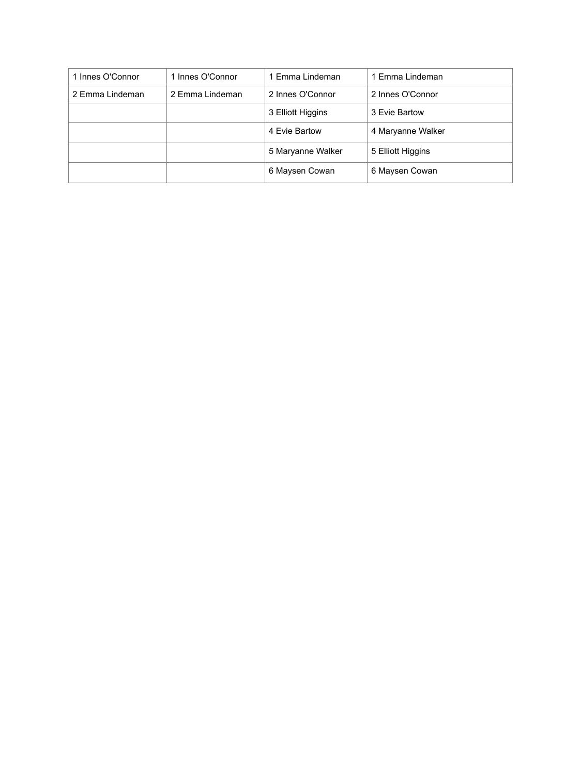| 1 Innes O'Connor | 1 Innes O'Connor | 1 Emma Lindeman   | 1 Emma Lindeman   |
|------------------|------------------|-------------------|-------------------|
| 2 Emma Lindeman  | 2 Emma Lindeman  | 2 Innes O'Connor  | 2 Innes O'Connor  |
|                  |                  | 3 Elliott Higgins | 3 Evie Bartow     |
|                  |                  | 4 Evie Bartow     | 4 Maryanne Walker |
|                  |                  | 5 Maryanne Walker | 5 Elliott Higgins |
|                  |                  | 6 Maysen Cowan    | 6 Maysen Cowan    |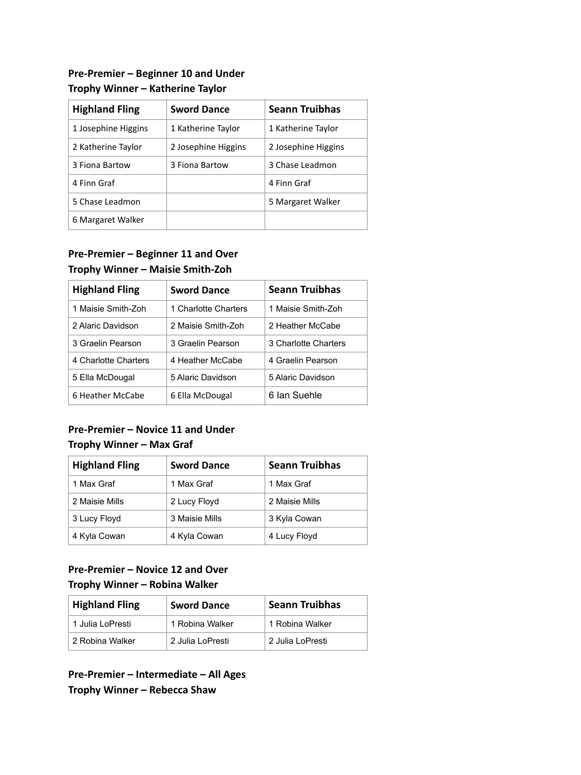### **Pre-Premier – Beginner 10 and Under Trophy Winner – Katherine Taylor**

| <b>Highland Fling</b> | <b>Sword Dance</b>  | <b>Seann Truibhas</b> |
|-----------------------|---------------------|-----------------------|
| 1 Josephine Higgins   | 1 Katherine Taylor  | 1 Katherine Taylor    |
| 2 Katherine Taylor    | 2 Josephine Higgins | 2 Josephine Higgins   |
| 3 Fiona Bartow        | 3 Fiona Bartow      | 3 Chase Leadmon       |
| 4 Finn Graf           |                     | 4 Finn Graf           |
| 5 Chase Leadmon       |                     | 5 Margaret Walker     |
| 6 Margaret Walker     |                     |                       |

## **Pre-Premier – Beginner 11 and Over Trophy Winner – Maisie Smith-Zoh**

| <b>Highland Fling</b> | <b>Sword Dance</b>   | <b>Seann Truibhas</b> |
|-----------------------|----------------------|-----------------------|
| 1 Maisie Smith-Zoh    | 1 Charlotte Charters | 1 Maisie Smith-Zoh    |
| 2 Alaric Davidson     | 2 Maisie Smith-Zoh   | 2 Heather McCabe      |
| 3 Graelin Pearson     | 3 Graelin Pearson    | 3 Charlotte Charters  |
| 4 Charlotte Charters  | 4 Heather McCabe     | 4 Graelin Pearson     |
| 5 Ella McDougal       | 5 Alaric Davidson    | 5 Alaric Davidson     |
| 6 Heather McCabe      | 6 Ella McDougal      | 6 Ian Suehle          |
|                       |                      |                       |

## **Pre-Premier – Novice 11 and Under Trophy Winner – Max Graf**

| <b>Highland Fling</b> | <b>Sword Dance</b> | <b>Seann Truibhas</b> |
|-----------------------|--------------------|-----------------------|
| 1 Max Graf            | 1 Max Graf         | 1 Max Graf            |
| 2 Maisie Mills        | 2 Lucy Floyd       | 2 Maisie Mills        |
| 3 Lucy Floyd          | 3 Maisie Mills     | 3 Kyla Cowan          |
| 4 Kyla Cowan          | 4 Kyla Cowan       | 4 Lucy Floyd          |

### **Pre-Premier – Novice 12 and Over Trophy Winner – Robina Walker**

| <b>Highland Fling</b> | <b>Sword Dance</b> | <b>Seann Truibhas</b> |
|-----------------------|--------------------|-----------------------|
| 1 Julia LoPresti      | 1 Robina Walker    | 1 Robina Walker       |
| 2 Robina Walker       | 2 Julia LoPresti   | 2 Julia LoPresti      |

**Pre-Premier – Intermediate – All Ages Trophy Winner – Rebecca Shaw**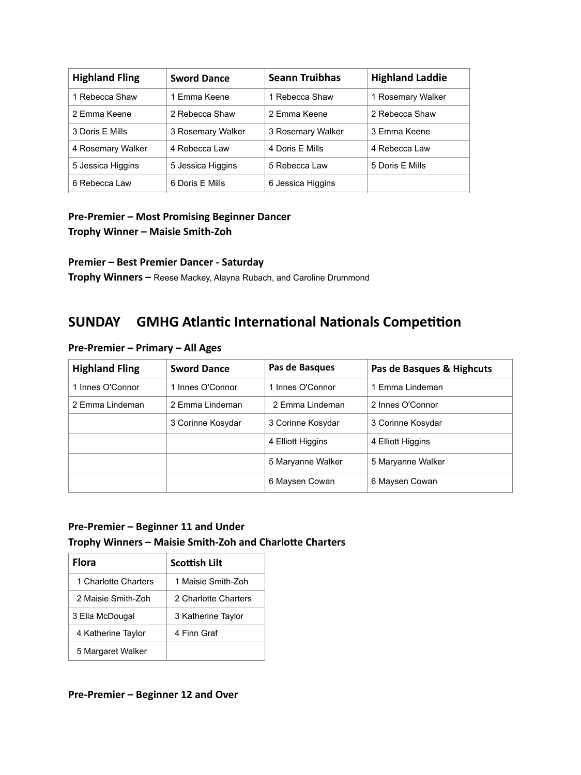| <b>Highland Fling</b> | <b>Sword Dance</b> | <b>Seann Truibhas</b> | <b>Highland Laddie</b> |
|-----------------------|--------------------|-----------------------|------------------------|
| 1 Rebecca Shaw        | 1 Emma Keene       | 1 Rebecca Shaw        | 1 Rosemary Walker      |
| 2 Emma Keene          | 2 Rebecca Shaw     | 2 Emma Keene          | 2 Rebecca Shaw         |
| 3 Doris E Mills       | 3 Rosemary Walker  | 3 Rosemary Walker     | 3 Emma Keene           |
| 4 Rosemary Walker     | 4 Rebecca Law      | 4 Doris E Mills       | 4 Rebecca Law          |
| 5 Jessica Higgins     | 5 Jessica Higgins  | 5 Rebecca Law         | 5 Doris E Mills        |
| 6 Rebecca Law         | 6 Doris E Mills    | 6 Jessica Higgins     |                        |

### **Pre-Premier – Most Promising Beginner Dancer Trophy Winner – Maisie Smith-Zoh**

#### **Premier – Best Premier Dancer - Saturday**

**Trophy Winners –** Reese Mackey, Alayna Rubach, and Caroline Drummond

# **SUNDAY GMHG Atlantic International Nationals Competition**

| <b>Highland Fling</b> | <b>Sword Dance</b> | Pas de Basques    | Pas de Basques & Highcuts |
|-----------------------|--------------------|-------------------|---------------------------|
| 1 Innes O'Connor      | 1 Innes O'Connor   | 1 Innes O'Connor  | 1 Emma Lindeman           |
| 2 Emma Lindeman       | 2 Emma Lindeman    | 2 Emma Lindeman   | 2 Innes O'Connor          |
|                       | 3 Corinne Kosydar  | 3 Corinne Kosydar | 3 Corinne Kosydar         |
|                       |                    | 4 Elliott Higgins | 4 Elliott Higgins         |
|                       |                    | 5 Maryanne Walker | 5 Maryanne Walker         |
|                       |                    | 6 Maysen Cowan    | 6 Maysen Cowan            |

#### **Pre-Premier – Primary – All Ages**

### **Pre-Premier – Beginner 11 and Under Trophy Winners – Maisie Smith-Zoh and Charlotte Charters**

| Flora                | <b>Scottish Lilt</b> |
|----------------------|----------------------|
| 1 Charlotte Charters | 1 Maisie Smith-Zoh   |
| 2 Maisie Smith-Zoh   | 2 Charlotte Charters |
| 3 Ella McDougal      | 3 Katherine Taylor   |
| 4 Katherine Taylor   | 4 Finn Graf          |
| 5 Margaret Walker    |                      |

#### **Pre-Premier – Beginner 12 and Over**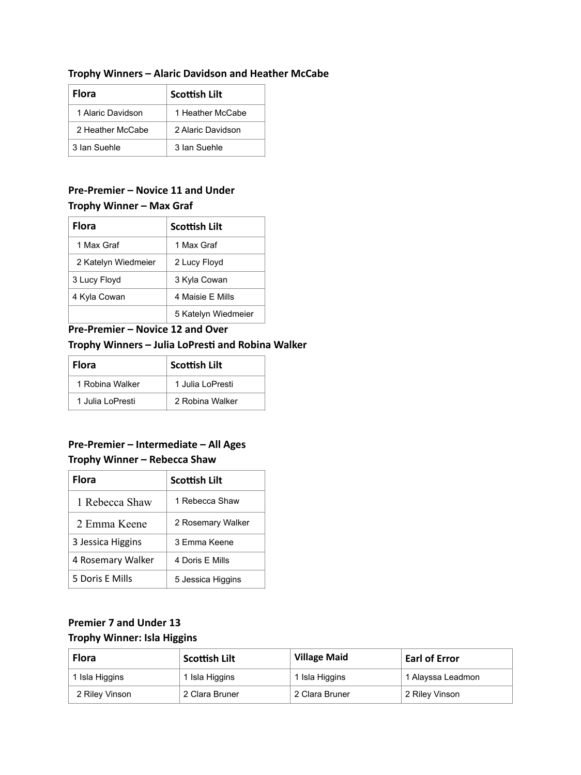#### **Trophy Winners – Alaric Davidson and Heather McCabe**

| <b>Flora</b>      | Scottish Lilt     |
|-------------------|-------------------|
| 1 Alaric Davidson | 1 Heather McCabe  |
| 2 Heather McCabe  | 2 Alaric Davidson |
| 3 Ian Suehle      | 3 Ian Suehle      |

### **Pre-Premier – Novice 11 and Under Trophy Winner – Max Graf**

| <b>Flora</b>        | <b>Scottish Lilt</b> |
|---------------------|----------------------|
| 1 Max Graf          | 1 Max Graf           |
| 2 Katelyn Wiedmeier | 2 Lucy Floyd         |
| 3 Lucy Floyd        | 3 Kyla Cowan         |
| 4 Kyla Cowan        | 4 Maisie F Mills     |
|                     | 5 Katelyn Wiedmeier  |

### **Pre-Premier – Novice 12 and Over Trophy Winners – Julia LoPresti and Robina Walker**

| <b>Flora</b>     | <b>Scottish Lilt</b> |
|------------------|----------------------|
| 1 Robina Walker  | 1 Julia LoPresti     |
| 1 Julia LoPresti | 2 Robina Walker      |

## **Pre-Premier – Intermediate – All Ages Trophy Winner – Rebecca Shaw**

| Flora             | Scottish Lilt     |
|-------------------|-------------------|
| 1 Rebecca Shaw    | 1 Rebecca Shaw    |
| 2 Emma Keene      | 2 Rosemary Walker |
| 3 Jessica Higgins | 3 Emma Keene      |
| 4 Rosemary Walker | 4 Doris F Mills   |
| 5 Doris E Mills   | 5 Jessica Higgins |

### **Premier 7 and Under 13 Trophy Winner: Isla Higgins**

| <b>Flora</b>   | Scottish Lilt  | <b>Village Maid</b> | <b>Earl of Error</b> |
|----------------|----------------|---------------------|----------------------|
| 1 Isla Higgins | 1 Isla Higgins | 1 Isla Higgins      | 1 Alayssa Leadmon    |
| 2 Riley Vinson | 2 Clara Bruner | 2 Clara Bruner      | 2 Riley Vinson       |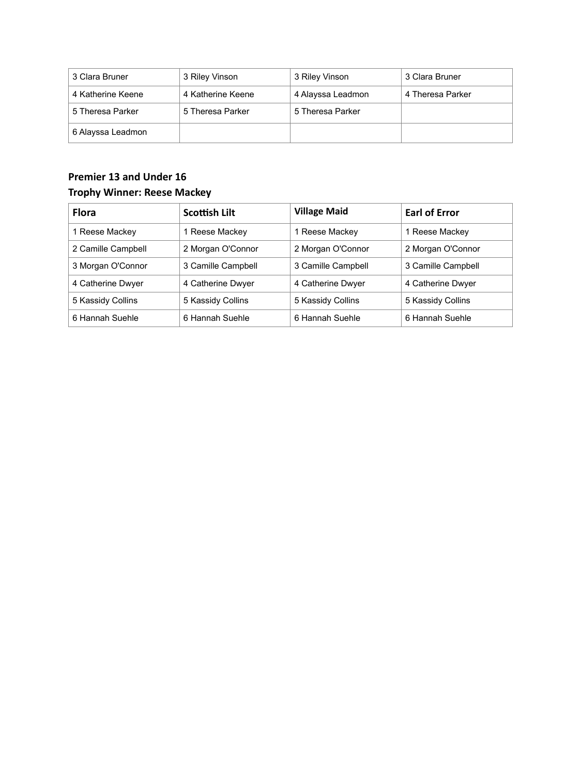| 3 Clara Bruner    | 3 Riley Vinson    | 3 Riley Vinson    | 3 Clara Bruner   |
|-------------------|-------------------|-------------------|------------------|
| 4 Katherine Keene | 4 Katherine Keene | 4 Alayssa Leadmon | 4 Theresa Parker |
| 5 Theresa Parker  | 5 Theresa Parker  | 5 Theresa Parker  |                  |
| 6 Alayssa Leadmon |                   |                   |                  |

## **Premier 13 and Under 16 Trophy Winner: Reese Mackey**

| <b>Flora</b>       | Scottish Lilt      | <b>Village Maid</b> | <b>Earl of Error</b> |
|--------------------|--------------------|---------------------|----------------------|
| 1 Reese Mackey     | 1 Reese Mackey     | 1 Reese Mackey      | 1 Reese Mackey       |
| 2 Camille Campbell | 2 Morgan O'Connor  | 2 Morgan O'Connor   | 2 Morgan O'Connor    |
| 3 Morgan O'Connor  | 3 Camille Campbell | 3 Camille Campbell  | 3 Camille Campbell   |
| 4 Catherine Dwyer  | 4 Catherine Dwyer  | 4 Catherine Dwyer   | 4 Catherine Dwyer    |
| 5 Kassidy Collins  | 5 Kassidy Collins  | 5 Kassidy Collins   | 5 Kassidy Collins    |
| 6 Hannah Suehle    | 6 Hannah Suehle    | 6 Hannah Suehle     | 6 Hannah Suehle      |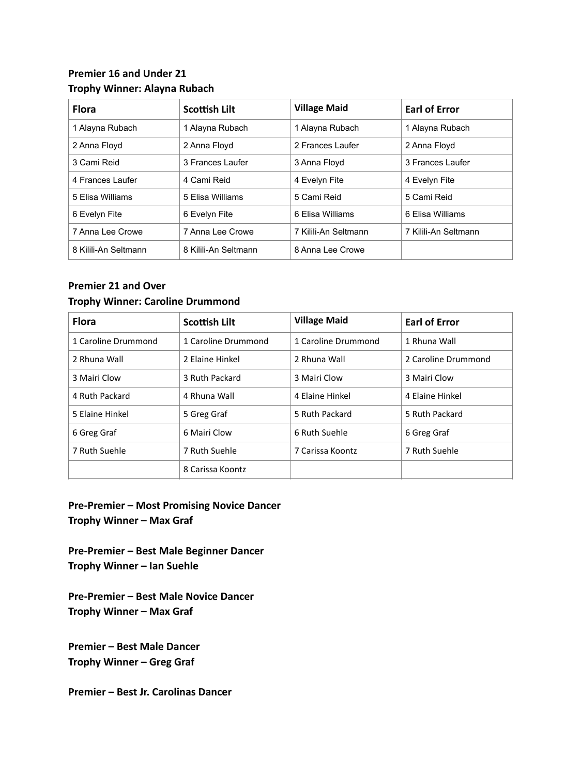### **Premier 16 and Under 21 Trophy Winner: Alayna Rubach**

| <b>Flora</b>         | <b>Scottish Lilt</b> | <b>Village Maid</b>  | <b>Earl of Error</b> |
|----------------------|----------------------|----------------------|----------------------|
| 1 Alayna Rubach      | 1 Alayna Rubach      | 1 Alayna Rubach      | 1 Alayna Rubach      |
| 2 Anna Floyd         | 2 Anna Floyd         | 2 Frances Laufer     | 2 Anna Floyd         |
| 3 Cami Reid          | 3 Frances Laufer     | 3 Anna Floyd         | 3 Frances Laufer     |
| 4 Frances Laufer     | 4 Cami Reid          | 4 Evelyn Fite        | 4 Evelyn Fite        |
| 5 Elisa Williams     | 5 Elisa Williams     | 5 Cami Reid          | 5 Cami Reid          |
| 6 Evelyn Fite        | 6 Evelyn Fite        | 6 Elisa Williams     | 6 Elisa Williams     |
| 7 Anna Lee Crowe     | 7 Anna Lee Crowe     | 7 Kilili-An Seltmann | 7 Kilili-An Seltmann |
| 8 Kilili-An Seltmann | 8 Kilili-An Seltmann | 8 Anna Lee Crowe     |                      |

#### **Premier 21 and Over Trophy Winner: Caroline Drummond**

| <b>Flora</b>        | <b>Scottish Lilt</b> | <b>Village Maid</b> | <b>Earl of Error</b> |
|---------------------|----------------------|---------------------|----------------------|
| 1 Caroline Drummond | 1 Caroline Drummond  | 1 Caroline Drummond | 1 Rhuna Wall         |
| 2 Rhuna Wall        | 2 Elaine Hinkel      | 2 Rhuna Wall        | 2 Caroline Drummond  |
| 3 Mairi Clow        | 3 Ruth Packard       | 3 Mairi Clow        | 3 Mairi Clow         |
| 4 Ruth Packard      | 4 Rhuna Wall         | 4 Elaine Hinkel     | 4 Elaine Hinkel      |
| 5 Elaine Hinkel     | 5 Greg Graf          | 5 Ruth Packard      | 5 Ruth Packard       |
| 6 Greg Graf         | 6 Mairi Clow         | 6 Ruth Suehle       | 6 Greg Graf          |
| 7 Ruth Suehle       | 7 Ruth Suehle        | 7 Carissa Koontz    | 7 Ruth Suehle        |
|                     | 8 Carissa Koontz     |                     |                      |

**Pre-Premier – Most Promising Novice Dancer Trophy Winner – Max Graf**

**Pre-Premier – Best Male Beginner Dancer Trophy Winner – Ian Suehle**

**Pre-Premier – Best Male Novice Dancer Trophy Winner – Max Graf**

**Premier – Best Male Dancer Trophy Winner – Greg Graf**

**Premier – Best Jr. Carolinas Dancer**